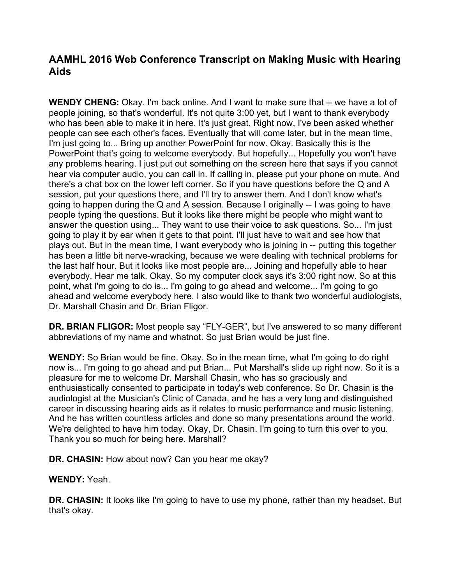## **AAMHL 2016 Web Conference Transcript on Making Music with Hearing Aids**

**WENDY CHENG:** Okay. I'm back online. And I want to make sure that -- we have a lot of people joining, so that's wonderful. It's not quite 3:00 yet, but I want to thank everybody who has been able to make it in here. It's just great. Right now, I've been asked whether people can see each other's faces. Eventually that will come later, but in the mean time, I'm just going to... Bring up another PowerPoint for now. Okay. Basically this is the PowerPoint that's going to welcome everybody. But hopefully... Hopefully you won't have any problems hearing. I just put out something on the screen here that says if you cannot hear via computer audio, you can call in. If calling in, please put your phone on mute. And there's a chat box on the lower left corner. So if you have questions before the Q and A session, put your questions there, and I'll try to answer them. And I don't know what's going to happen during the Q and A session. Because I originally -- I was going to have people typing the questions. But it looks like there might be people who might want to answer the question using... They want to use their voice to ask questions. So... I'm just going to play it by ear when it gets to that point. I'll just have to wait and see how that plays out. But in the mean time, I want everybody who is joining in -- putting this together has been a little bit nerve-wracking, because we were dealing with technical problems for the last half hour. But it looks like most people are... Joining and hopefully able to hear everybody. Hear me talk. Okay. So my computer clock says it's 3:00 right now. So at this point, what I'm going to do is... I'm going to go ahead and welcome... I'm going to go ahead and welcome everybody here. I also would like to thank two wonderful audiologists, Dr. Marshall Chasin and Dr. Brian Fligor.

**DR. BRIAN FLIGOR:** Most people say "FLY-GER", but I've answered to so many different abbreviations of my name and whatnot. So just Brian would be just fine.

**WENDY:** So Brian would be fine. Okay. So in the mean time, what I'm going to do right now is... I'm going to go ahead and put Brian... Put Marshall's slide up right now. So it is a pleasure for me to welcome Dr. Marshall Chasin, who has so graciously and enthusiastically consented to participate in today's web conference. So Dr. Chasin is the audiologist at the Musician's Clinic of Canada, and he has a very long and distinguished career in discussing hearing aids as it relates to music performance and music listening. And he has written countless articles and done so many presentations around the world. We're delighted to have him today. Okay, Dr. Chasin. I'm going to turn this over to you. Thank you so much for being here. Marshall?

**DR. CHASIN:** How about now? Can you hear me okay?

**WENDY:** Yeah.

**DR. CHASIN:** It looks like I'm going to have to use my phone, rather than my headset. But that's okay.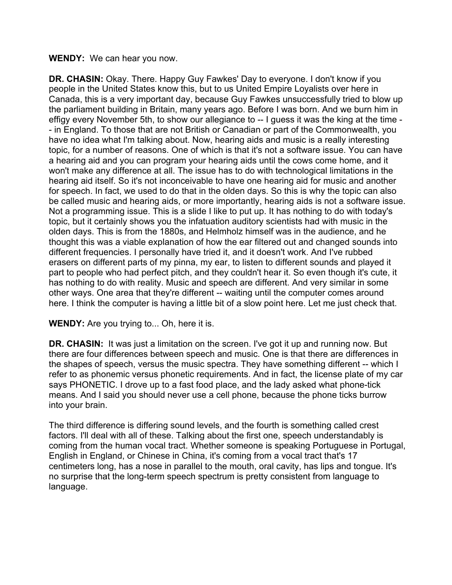## **WENDY:** We can hear you now.

**DR. CHASIN:** Okay. There. Happy Guy Fawkes' Day to everyone. I don't know if you people in the United States know this, but to us United Empire Loyalists over here in Canada, this is a very important day, because Guy Fawkes unsuccessfully tried to blow up the parliament building in Britain, many years ago. Before I was born. And we burn him in effigy every November 5th, to show our allegiance to -- I guess it was the king at the time - - in England. To those that are not British or Canadian or part of the Commonwealth, you have no idea what I'm talking about. Now, hearing aids and music is a really interesting topic, for a number of reasons. One of which is that it's not a software issue. You can have a hearing aid and you can program your hearing aids until the cows come home, and it won't make any difference at all. The issue has to do with technological limitations in the hearing aid itself. So it's not inconceivable to have one hearing aid for music and another for speech. In fact, we used to do that in the olden days. So this is why the topic can also be called music and hearing aids, or more importantly, hearing aids is not a software issue. Not a programming issue. This is a slide I like to put up. It has nothing to do with today's topic, but it certainly shows you the infatuation auditory scientists had with music in the olden days. This is from the 1880s, and Helmholz himself was in the audience, and he thought this was a viable explanation of how the ear filtered out and changed sounds into different frequencies. I personally have tried it, and it doesn't work. And I've rubbed erasers on different parts of my pinna, my ear, to listen to different sounds and played it part to people who had perfect pitch, and they couldn't hear it. So even though it's cute, it has nothing to do with reality. Music and speech are different. And very similar in some other ways. One area that they're different -- waiting until the computer comes around here. I think the computer is having a little bit of a slow point here. Let me just check that.

## **WENDY:** Are you trying to... Oh, here it is.

**DR. CHASIN:** It was just a limitation on the screen. I've got it up and running now. But there are four differences between speech and music. One is that there are differences in the shapes of speech, versus the music spectra. They have something different -- which I refer to as phonemic versus phonetic requirements. And in fact, the license plate of my car says PHONETIC. I drove up to a fast food place, and the lady asked what phone-tick means. And I said you should never use a cell phone, because the phone ticks burrow into your brain.

The third difference is differing sound levels, and the fourth is something called crest factors. I'll deal with all of these. Talking about the first one, speech understandably is coming from the human vocal tract. Whether someone is speaking Portuguese in Portugal, English in England, or Chinese in China, it's coming from a vocal tract that's 17 centimeters long, has a nose in parallel to the mouth, oral cavity, has lips and tongue. It's no surprise that the long-term speech spectrum is pretty consistent from language to language.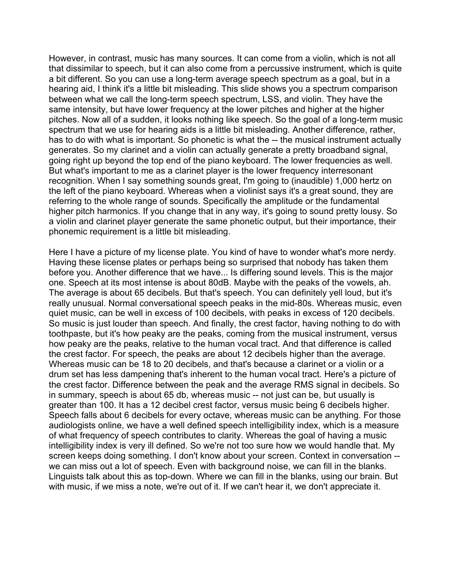However, in contrast, music has many sources. It can come from a violin, which is not all that dissimilar to speech, but it can also come from a percussive instrument, which is quite a bit different. So you can use a long-term average speech spectrum as a goal, but in a hearing aid, I think it's a little bit misleading. This slide shows you a spectrum comparison between what we call the long-term speech spectrum, LSS, and violin. They have the same intensity, but have lower frequency at the lower pitches and higher at the higher pitches. Now all of a sudden, it looks nothing like speech. So the goal of a long-term music spectrum that we use for hearing aids is a little bit misleading. Another difference, rather, has to do with what is important. So phonetic is what the -- the musical instrument actually generates. So my clarinet and a violin can actually generate a pretty broadband signal, going right up beyond the top end of the piano keyboard. The lower frequencies as well. But what's important to me as a clarinet player is the lower frequency interresonant recognition. When I say something sounds great, I'm going to (inaudible) 1,000 hertz on the left of the piano keyboard. Whereas when a violinist says it's a great sound, they are referring to the whole range of sounds. Specifically the amplitude or the fundamental higher pitch harmonics. If you change that in any way, it's going to sound pretty lousy. So a violin and clarinet player generate the same phonetic output, but their importance, their phonemic requirement is a little bit misleading.

Here I have a picture of my license plate. You kind of have to wonder what's more nerdy. Having these license plates or perhaps being so surprised that nobody has taken them before you. Another difference that we have... Is differing sound levels. This is the major one. Speech at its most intense is about 80dB. Maybe with the peaks of the vowels, ah. The average is about 65 decibels. But that's speech. You can definitely yell loud, but it's really unusual. Normal conversational speech peaks in the mid-80s. Whereas music, even quiet music, can be well in excess of 100 decibels, with peaks in excess of 120 decibels. So music is just louder than speech. And finally, the crest factor, having nothing to do with toothpaste, but it's how peaky are the peaks, coming from the musical instrument, versus how peaky are the peaks, relative to the human vocal tract. And that difference is called the crest factor. For speech, the peaks are about 12 decibels higher than the average. Whereas music can be 18 to 20 decibels, and that's because a clarinet or a violin or a drum set has less dampening that's inherent to the human vocal tract. Here's a picture of the crest factor. Difference between the peak and the average RMS signal in decibels. So in summary, speech is about 65 db, whereas music -- not just can be, but usually is greater than 100. It has a 12 decibel crest factor, versus music being 6 decibels higher. Speech falls about 6 decibels for every octave, whereas music can be anything. For those audiologists online, we have a well defined speech intelligibility index, which is a measure of what frequency of speech contributes to clarity. Whereas the goal of having a music intelligibility index is very ill defined. So we're not too sure how we would handle that. My screen keeps doing something. I don't know about your screen. Context in conversation - we can miss out a lot of speech. Even with background noise, we can fill in the blanks. Linguists talk about this as top-down. Where we can fill in the blanks, using our brain. But with music, if we miss a note, we're out of it. If we can't hear it, we don't appreciate it.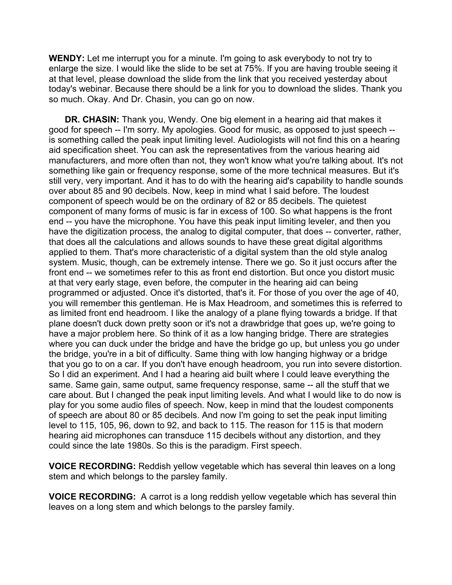**WENDY:** Let me interrupt you for a minute. I'm going to ask everybody to not try to enlarge the size. I would like the slide to be set at 75%. If you are having trouble seeing it at that level, please download the slide from the link that you received yesterday about today's webinar. Because there should be a link for you to download the slides. Thank you so much. Okay. And Dr. Chasin, you can go on now.

**DR. CHASIN:** Thank you, Wendy. One big element in a hearing aid that makes it good for speech -- I'm sorry. My apologies. Good for music, as opposed to just speech - is something called the peak input limiting level. Audiologists will not find this on a hearing aid specification sheet. You can ask the representatives from the various hearing aid manufacturers, and more often than not, they won't know what you're talking about. It's not something like gain or frequency response, some of the more technical measures. But it's still very, very important. And it has to do with the hearing aid's capability to handle sounds over about 85 and 90 decibels. Now, keep in mind what I said before. The loudest component of speech would be on the ordinary of 82 or 85 decibels. The quietest component of many forms of music is far in excess of 100. So what happens is the front end -- you have the microphone. You have this peak input limiting leveler, and then you have the digitization process, the analog to digital computer, that does -- converter, rather, that does all the calculations and allows sounds to have these great digital algorithms applied to them. That's more characteristic of a digital system than the old style analog system. Music, though, can be extremely intense. There we go. So it just occurs after the front end -- we sometimes refer to this as front end distortion. But once you distort music at that very early stage, even before, the computer in the hearing aid can being programmed or adjusted. Once it's distorted, that's it. For those of you over the age of 40, you will remember this gentleman. He is Max Headroom, and sometimes this is referred to as limited front end headroom. I like the analogy of a plane flying towards a bridge. If that plane doesn't duck down pretty soon or it's not a drawbridge that goes up, we're going to have a major problem here. So think of it as a low hanging bridge. There are strategies where you can duck under the bridge and have the bridge go up, but unless you go under the bridge, you're in a bit of difficulty. Same thing with low hanging highway or a bridge that you go to on a car. If you don't have enough headroom, you run into severe distortion. So I did an experiment. And I had a hearing aid built where I could leave everything the same. Same gain, same output, same frequency response, same -- all the stuff that we care about. But I changed the peak input limiting levels. And what I would like to do now is play for you some audio files of speech. Now, keep in mind that the loudest components of speech are about 80 or 85 decibels. And now I'm going to set the peak input limiting level to 115, 105, 96, down to 92, and back to 115. The reason for 115 is that modern hearing aid microphones can transduce 115 decibels without any distortion, and they could since the late 1980s. So this is the paradigm. First speech.

**VOICE RECORDING:** Reddish yellow vegetable which has several thin leaves on a long stem and which belongs to the parsley family.

**VOICE RECORDING:** A carrot is a long reddish yellow vegetable which has several thin leaves on a long stem and which belongs to the parsley family.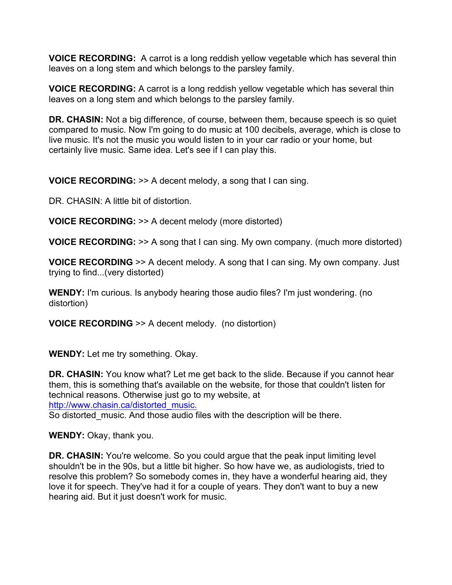**VOICE RECORDING:** A carrot is a long reddish yellow vegetable which has several thin leaves on a long stem and which belongs to the parsley family.

**VOICE RECORDING:** A carrot is a long reddish yellow vegetable which has several thin leaves on a long stem and which belongs to the parsley family.

**DR. CHASIN:** Not a big difference, of course, between them, because speech is so quiet compared to music. Now I'm going to do music at 100 decibels, average, which is close to live music. It's not the music you would listen to in your car radio or your home, but certainly live music. Same idea. Let's see if I can play this.

**VOICE RECORDING:** >> A decent melody, a song that I can sing.

DR. CHASIN: A little bit of distortion.

**VOICE RECORDING:** >> A decent melody (more distorted)

**VOICE RECORDING:** >> A song that I can sing. My own company. (much more distorted)

**VOICE RECORDING** >> A decent melody. A song that I can sing. My own company. Just trying to find...(very distorted)

**WENDY:** I'm curious. Is anybody hearing those audio files? I'm just wondering. (no distortion)

**VOICE RECORDING** >> A decent melody. (no distortion)

**WENDY:** Let me try something. Okay.

**DR. CHASIN:** You know what? Let me get back to the slide. Because if you cannot hear them, this is something that's available on the website, for those that couldn't listen for technical reasons. Otherwise just go to my website, at http://www.chasin.ca/distorted\_music.

So distorted music. And those audio files with the description will be there.

**WENDY:** Okay, thank you.

**DR. CHASIN:** You're welcome. So you could arque that the peak input limiting level shouldn't be in the 90s, but a little bit higher. So how have we, as audiologists, tried to resolve this problem? So somebody comes in, they have a wonderful hearing aid, they love it for speech. They've had it for a couple of years. They don't want to buy a new hearing aid. But it just doesn't work for music.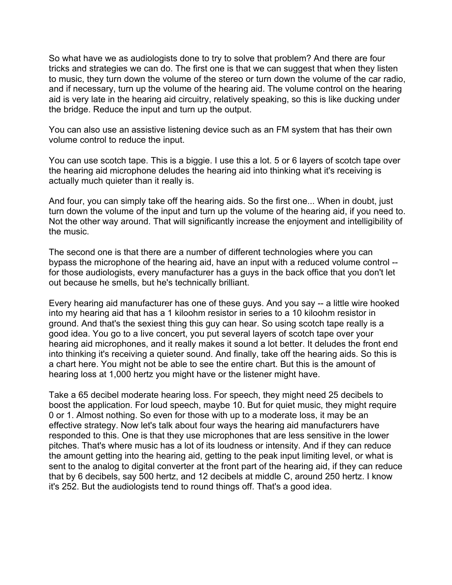So what have we as audiologists done to try to solve that problem? And there are four tricks and strategies we can do. The first one is that we can suggest that when they listen to music, they turn down the volume of the stereo or turn down the volume of the car radio, and if necessary, turn up the volume of the hearing aid. The volume control on the hearing aid is very late in the hearing aid circuitry, relatively speaking, so this is like ducking under the bridge. Reduce the input and turn up the output.

You can also use an assistive listening device such as an FM system that has their own volume control to reduce the input.

You can use scotch tape. This is a biggie. I use this a lot. 5 or 6 layers of scotch tape over the hearing aid microphone deludes the hearing aid into thinking what it's receiving is actually much quieter than it really is.

And four, you can simply take off the hearing aids. So the first one... When in doubt, just turn down the volume of the input and turn up the volume of the hearing aid, if you need to. Not the other way around. That will significantly increase the enjoyment and intelligibility of the music.

The second one is that there are a number of different technologies where you can bypass the microphone of the hearing aid, have an input with a reduced volume control - for those audiologists, every manufacturer has a guys in the back office that you don't let out because he smells, but he's technically brilliant.

Every hearing aid manufacturer has one of these guys. And you say -- a little wire hooked into my hearing aid that has a 1 kiloohm resistor in series to a 10 kiloohm resistor in ground. And that's the sexiest thing this guy can hear. So using scotch tape really is a good idea. You go to a live concert, you put several layers of scotch tape over your hearing aid microphones, and it really makes it sound a lot better. It deludes the front end into thinking it's receiving a quieter sound. And finally, take off the hearing aids. So this is a chart here. You might not be able to see the entire chart. But this is the amount of hearing loss at 1,000 hertz you might have or the listener might have.

Take a 65 decibel moderate hearing loss. For speech, they might need 25 decibels to boost the application. For loud speech, maybe 10. But for quiet music, they might require 0 or 1. Almost nothing. So even for those with up to a moderate loss, it may be an effective strategy. Now let's talk about four ways the hearing aid manufacturers have responded to this. One is that they use microphones that are less sensitive in the lower pitches. That's where music has a lot of its loudness or intensity. And if they can reduce the amount getting into the hearing aid, getting to the peak input limiting level, or what is sent to the analog to digital converter at the front part of the hearing aid, if they can reduce that by 6 decibels, say 500 hertz, and 12 decibels at middle C, around 250 hertz. I know it's 252. But the audiologists tend to round things off. That's a good idea.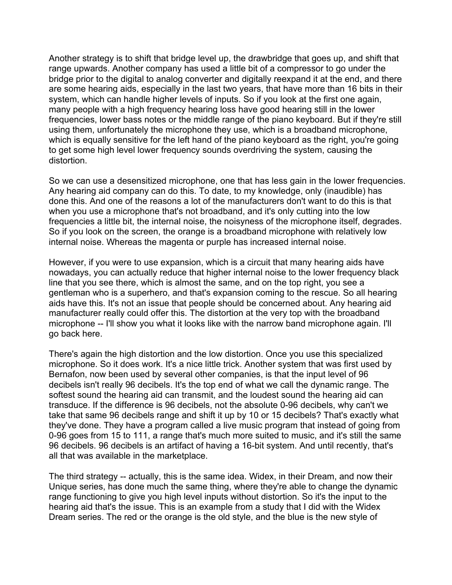Another strategy is to shift that bridge level up, the drawbridge that goes up, and shift that range upwards. Another company has used a little bit of a compressor to go under the bridge prior to the digital to analog converter and digitally reexpand it at the end, and there are some hearing aids, especially in the last two years, that have more than 16 bits in their system, which can handle higher levels of inputs. So if you look at the first one again, many people with a high frequency hearing loss have good hearing still in the lower frequencies, lower bass notes or the middle range of the piano keyboard. But if they're still using them, unfortunately the microphone they use, which is a broadband microphone, which is equally sensitive for the left hand of the piano keyboard as the right, you're going to get some high level lower frequency sounds overdriving the system, causing the distortion.

So we can use a desensitized microphone, one that has less gain in the lower frequencies. Any hearing aid company can do this. To date, to my knowledge, only (inaudible) has done this. And one of the reasons a lot of the manufacturers don't want to do this is that when you use a microphone that's not broadband, and it's only cutting into the low frequencies a little bit, the internal noise, the noisyness of the microphone itself, degrades. So if you look on the screen, the orange is a broadband microphone with relatively low internal noise. Whereas the magenta or purple has increased internal noise.

However, if you were to use expansion, which is a circuit that many hearing aids have nowadays, you can actually reduce that higher internal noise to the lower frequency black line that you see there, which is almost the same, and on the top right, you see a gentleman who is a superhero, and that's expansion coming to the rescue. So all hearing aids have this. It's not an issue that people should be concerned about. Any hearing aid manufacturer really could offer this. The distortion at the very top with the broadband microphone -- I'll show you what it looks like with the narrow band microphone again. I'll go back here.

There's again the high distortion and the low distortion. Once you use this specialized microphone. So it does work. It's a nice little trick. Another system that was first used by Bernafon, now been used by several other companies, is that the input level of 96 decibels isn't really 96 decibels. It's the top end of what we call the dynamic range. The softest sound the hearing aid can transmit, and the loudest sound the hearing aid can transduce. If the difference is 96 decibels, not the absolute 0-96 decibels, why can't we take that same 96 decibels range and shift it up by 10 or 15 decibels? That's exactly what they've done. They have a program called a live music program that instead of going from 0-96 goes from 15 to 111, a range that's much more suited to music, and it's still the same 96 decibels. 96 decibels is an artifact of having a 16-bit system. And until recently, that's all that was available in the marketplace.

The third strategy -- actually, this is the same idea. Widex, in their Dream, and now their Unique series, has done much the same thing, where they're able to change the dynamic range functioning to give you high level inputs without distortion. So it's the input to the hearing aid that's the issue. This is an example from a study that I did with the Widex Dream series. The red or the orange is the old style, and the blue is the new style of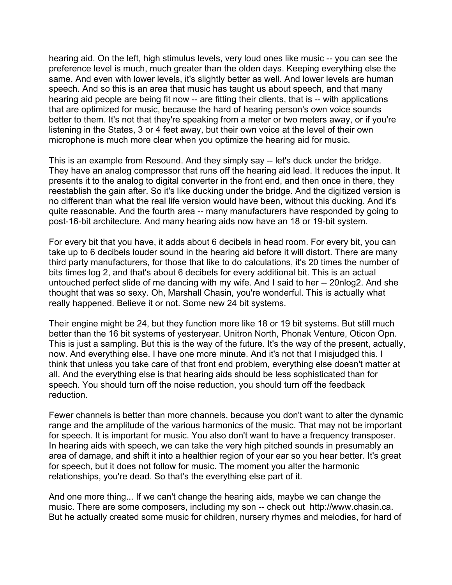hearing aid. On the left, high stimulus levels, very loud ones like music -- you can see the preference level is much, much greater than the olden days. Keeping everything else the same. And even with lower levels, it's slightly better as well. And lower levels are human speech. And so this is an area that music has taught us about speech, and that many hearing aid people are being fit now -- are fitting their clients, that is -- with applications that are optimized for music, because the hard of hearing person's own voice sounds better to them. It's not that they're speaking from a meter or two meters away, or if you're listening in the States, 3 or 4 feet away, but their own voice at the level of their own microphone is much more clear when you optimize the hearing aid for music.

This is an example from Resound. And they simply say -- let's duck under the bridge. They have an analog compressor that runs off the hearing aid lead. It reduces the input. It presents it to the analog to digital converter in the front end, and then once in there, they reestablish the gain after. So it's like ducking under the bridge. And the digitized version is no different than what the real life version would have been, without this ducking. And it's quite reasonable. And the fourth area -- many manufacturers have responded by going to post-16-bit architecture. And many hearing aids now have an 18 or 19-bit system.

For every bit that you have, it adds about 6 decibels in head room. For every bit, you can take up to 6 decibels louder sound in the hearing aid before it will distort. There are many third party manufacturers, for those that like to do calculations, it's 20 times the number of bits times log 2, and that's about 6 decibels for every additional bit. This is an actual untouched perfect slide of me dancing with my wife. And I said to her -- 20nlog2. And she thought that was so sexy. Oh, Marshall Chasin, you're wonderful. This is actually what really happened. Believe it or not. Some new 24 bit systems.

Their engine might be 24, but they function more like 18 or 19 bit systems. But still much better than the 16 bit systems of yesteryear. Unitron North, Phonak Venture, Oticon Opn. This is just a sampling. But this is the way of the future. It's the way of the present, actually, now. And everything else. I have one more minute. And it's not that I misjudged this. I think that unless you take care of that front end problem, everything else doesn't matter at all. And the everything else is that hearing aids should be less sophisticated than for speech. You should turn off the noise reduction, you should turn off the feedback reduction.

Fewer channels is better than more channels, because you don't want to alter the dynamic range and the amplitude of the various harmonics of the music. That may not be important for speech. It is important for music. You also don't want to have a frequency transposer. In hearing aids with speech, we can take the very high pitched sounds in presumably an area of damage, and shift it into a healthier region of your ear so you hear better. It's great for speech, but it does not follow for music. The moment you alter the harmonic relationships, you're dead. So that's the everything else part of it.

And one more thing... If we can't change the hearing aids, maybe we can change the music. There are some composers, including my son -- check out http://www.chasin.ca. But he actually created some music for children, nursery rhymes and melodies, for hard of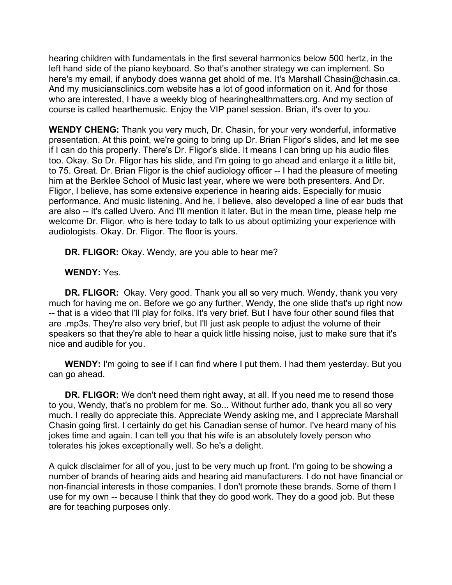hearing children with fundamentals in the first several harmonics below 500 hertz, in the left hand side of the piano keyboard. So that's another strategy we can implement. So here's my email, if anybody does wanna get ahold of me. It's Marshall Chasin@chasin.ca. And my musiciansclinics.com website has a lot of good information on it. And for those who are interested, I have a weekly blog of hearinghealthmatters.org. And my section of course is called hearthemusic. Enjoy the VIP panel session. Brian, it's over to you.

**WENDY CHENG:** Thank you very much, Dr. Chasin, for your very wonderful, informative presentation. At this point, we're going to bring up Dr. Brian Fligor's slides, and let me see if I can do this properly. There's Dr. Fligor's slide. It means I can bring up his audio files too. Okay. So Dr. Fligor has his slide, and I'm going to go ahead and enlarge it a little bit, to 75. Great. Dr. Brian Fligor is the chief audiology officer -- I had the pleasure of meeting him at the Berklee School of Music last year, where we were both presenters. And Dr. Fligor, I believe, has some extensive experience in hearing aids. Especially for music performance. And music listening. And he, I believe, also developed a line of ear buds that are also -- it's called Uvero. And I'll mention it later. But in the mean time, please help me welcome Dr. Fligor, who is here today to talk to us about optimizing your experience with audiologists. Okay. Dr. Fligor. The floor is yours.

**DR. FLIGOR:** Okay. Wendy, are you able to hear me?

**WENDY:** Yes.

**DR. FLIGOR:** Okay. Very good. Thank you all so very much. Wendy, thank you very much for having me on. Before we go any further, Wendy, the one slide that's up right now -- that is a video that I'll play for folks. It's very brief. But I have four other sound files that are .mp3s. They're also very brief, but I'll just ask people to adjust the volume of their speakers so that they're able to hear a quick little hissing noise, just to make sure that it's nice and audible for you.

**WENDY:** I'm going to see if I can find where I put them. I had them yesterday. But you can go ahead.

**DR. FLIGOR:** We don't need them right away, at all. If you need me to resend those to you, Wendy, that's no problem for me. So... Without further ado, thank you all so very much. I really do appreciate this. Appreciate Wendy asking me, and I appreciate Marshall Chasin going first. I certainly do get his Canadian sense of humor. I've heard many of his jokes time and again. I can tell you that his wife is an absolutely lovely person who tolerates his jokes exceptionally well. So he's a delight.

A quick disclaimer for all of you, just to be very much up front. I'm going to be showing a number of brands of hearing aids and hearing aid manufacturers. I do not have financial or non-financial interests in those companies. I don't promote these brands. Some of them I use for my own -- because I think that they do good work. They do a good job. But these are for teaching purposes only.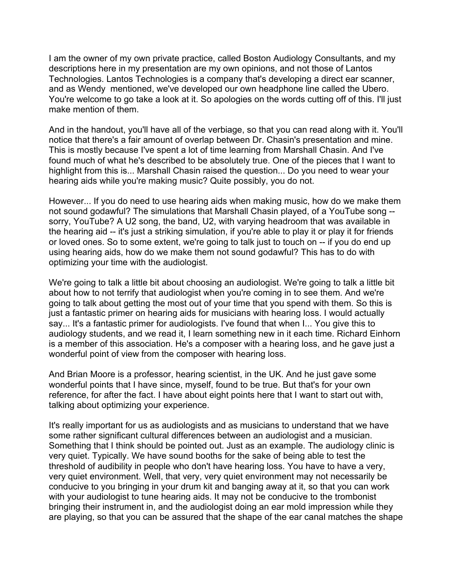I am the owner of my own private practice, called Boston Audiology Consultants, and my descriptions here in my presentation are my own opinions, and not those of Lantos Technologies. Lantos Technologies is a company that's developing a direct ear scanner, and as Wendy mentioned, we've developed our own headphone line called the Ubero. You're welcome to go take a look at it. So apologies on the words cutting off of this. I'll just make mention of them.

And in the handout, you'll have all of the verbiage, so that you can read along with it. You'll notice that there's a fair amount of overlap between Dr. Chasin's presentation and mine. This is mostly because I've spent a lot of time learning from Marshall Chasin. And I've found much of what he's described to be absolutely true. One of the pieces that I want to highlight from this is... Marshall Chasin raised the question... Do you need to wear your hearing aids while you're making music? Quite possibly, you do not.

However... If you do need to use hearing aids when making music, how do we make them not sound godawful? The simulations that Marshall Chasin played, of a YouTube song - sorry, YouTube? A U2 song, the band, U2, with varying headroom that was available in the hearing aid -- it's just a striking simulation, if you're able to play it or play it for friends or loved ones. So to some extent, we're going to talk just to touch on -- if you do end up using hearing aids, how do we make them not sound godawful? This has to do with optimizing your time with the audiologist.

We're going to talk a little bit about choosing an audiologist. We're going to talk a little bit about how to not terrify that audiologist when you're coming in to see them. And we're going to talk about getting the most out of your time that you spend with them. So this is just a fantastic primer on hearing aids for musicians with hearing loss. I would actually say... It's a fantastic primer for audiologists. I've found that when I... You give this to audiology students, and we read it, I learn something new in it each time. Richard Einhorn is a member of this association. He's a composer with a hearing loss, and he gave just a wonderful point of view from the composer with hearing loss.

And Brian Moore is a professor, hearing scientist, in the UK. And he just gave some wonderful points that I have since, myself, found to be true. But that's for your own reference, for after the fact. I have about eight points here that I want to start out with, talking about optimizing your experience.

It's really important for us as audiologists and as musicians to understand that we have some rather significant cultural differences between an audiologist and a musician. Something that I think should be pointed out. Just as an example. The audiology clinic is very quiet. Typically. We have sound booths for the sake of being able to test the threshold of audibility in people who don't have hearing loss. You have to have a very, very quiet environment. Well, that very, very quiet environment may not necessarily be conducive to you bringing in your drum kit and banging away at it, so that you can work with your audiologist to tune hearing aids. It may not be conducive to the trombonist bringing their instrument in, and the audiologist doing an ear mold impression while they are playing, so that you can be assured that the shape of the ear canal matches the shape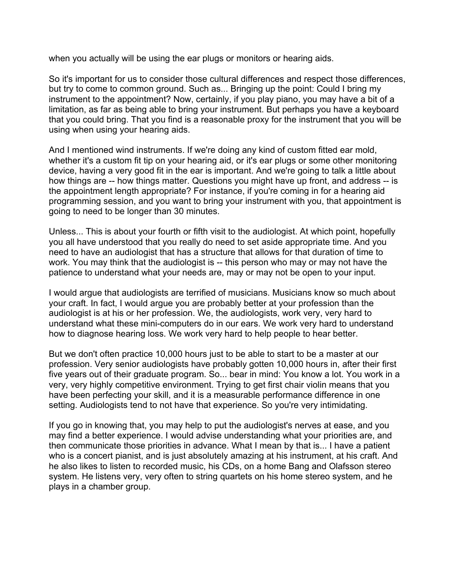when you actually will be using the ear plugs or monitors or hearing aids.

So it's important for us to consider those cultural differences and respect those differences, but try to come to common ground. Such as... Bringing up the point: Could I bring my instrument to the appointment? Now, certainly, if you play piano, you may have a bit of a limitation, as far as being able to bring your instrument. But perhaps you have a keyboard that you could bring. That you find is a reasonable proxy for the instrument that you will be using when using your hearing aids.

And I mentioned wind instruments. If we're doing any kind of custom fitted ear mold, whether it's a custom fit tip on your hearing aid, or it's ear plugs or some other monitoring device, having a very good fit in the ear is important. And we're going to talk a little about how things are -- how things matter. Questions you might have up front, and address -- is the appointment length appropriate? For instance, if you're coming in for a hearing aid programming session, and you want to bring your instrument with you, that appointment is going to need to be longer than 30 minutes.

Unless... This is about your fourth or fifth visit to the audiologist. At which point, hopefully you all have understood that you really do need to set aside appropriate time. And you need to have an audiologist that has a structure that allows for that duration of time to work. You may think that the audiologist is -- this person who may or may not have the patience to understand what your needs are, may or may not be open to your input.

I would argue that audiologists are terrified of musicians. Musicians know so much about your craft. In fact, I would argue you are probably better at your profession than the audiologist is at his or her profession. We, the audiologists, work very, very hard to understand what these mini-computers do in our ears. We work very hard to understand how to diagnose hearing loss. We work very hard to help people to hear better.

But we don't often practice 10,000 hours just to be able to start to be a master at our profession. Very senior audiologists have probably gotten 10,000 hours in, after their first five years out of their graduate program. So... bear in mind: You know a lot. You work in a very, very highly competitive environment. Trying to get first chair violin means that you have been perfecting your skill, and it is a measurable performance difference in one setting. Audiologists tend to not have that experience. So you're very intimidating.

If you go in knowing that, you may help to put the audiologist's nerves at ease, and you may find a better experience. I would advise understanding what your priorities are, and then communicate those priorities in advance. What I mean by that is... I have a patient who is a concert pianist, and is just absolutely amazing at his instrument, at his craft. And he also likes to listen to recorded music, his CDs, on a home Bang and Olafsson stereo system. He listens very, very often to string quartets on his home stereo system, and he plays in a chamber group.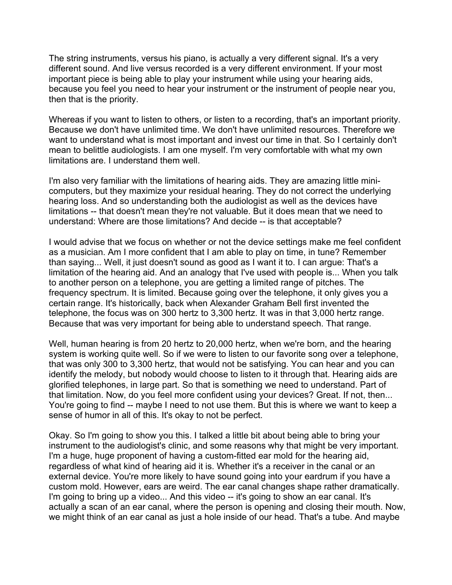The string instruments, versus his piano, is actually a very different signal. It's a very different sound. And live versus recorded is a very different environment. If your most important piece is being able to play your instrument while using your hearing aids, because you feel you need to hear your instrument or the instrument of people near you, then that is the priority.

Whereas if you want to listen to others, or listen to a recording, that's an important priority. Because we don't have unlimited time. We don't have unlimited resources. Therefore we want to understand what is most important and invest our time in that. So I certainly don't mean to belittle audiologists. I am one myself. I'm very comfortable with what my own limitations are. I understand them well.

I'm also very familiar with the limitations of hearing aids. They are amazing little minicomputers, but they maximize your residual hearing. They do not correct the underlying hearing loss. And so understanding both the audiologist as well as the devices have limitations -- that doesn't mean they're not valuable. But it does mean that we need to understand: Where are those limitations? And decide -- is that acceptable?

I would advise that we focus on whether or not the device settings make me feel confident as a musician. Am I more confident that I am able to play on time, in tune? Remember than saying... Well, it just doesn't sound as good as I want it to. I can argue: That's a limitation of the hearing aid. And an analogy that I've used with people is... When you talk to another person on a telephone, you are getting a limited range of pitches. The frequency spectrum. It is limited. Because going over the telephone, it only gives you a certain range. It's historically, back when Alexander Graham Bell first invented the telephone, the focus was on 300 hertz to 3,300 hertz. It was in that 3,000 hertz range. Because that was very important for being able to understand speech. That range.

Well, human hearing is from 20 hertz to 20,000 hertz, when we're born, and the hearing system is working quite well. So if we were to listen to our favorite song over a telephone, that was only 300 to 3,300 hertz, that would not be satisfying. You can hear and you can identify the melody, but nobody would choose to listen to it through that. Hearing aids are glorified telephones, in large part. So that is something we need to understand. Part of that limitation. Now, do you feel more confident using your devices? Great. If not, then... You're going to find -- maybe I need to not use them. But this is where we want to keep a sense of humor in all of this. It's okay to not be perfect.

Okay. So I'm going to show you this. I talked a little bit about being able to bring your instrument to the audiologist's clinic, and some reasons why that might be very important. I'm a huge, huge proponent of having a custom-fitted ear mold for the hearing aid, regardless of what kind of hearing aid it is. Whether it's a receiver in the canal or an external device. You're more likely to have sound going into your eardrum if you have a custom mold. However, ears are weird. The ear canal changes shape rather dramatically. I'm going to bring up a video... And this video -- it's going to show an ear canal. It's actually a scan of an ear canal, where the person is opening and closing their mouth. Now, we might think of an ear canal as just a hole inside of our head. That's a tube. And maybe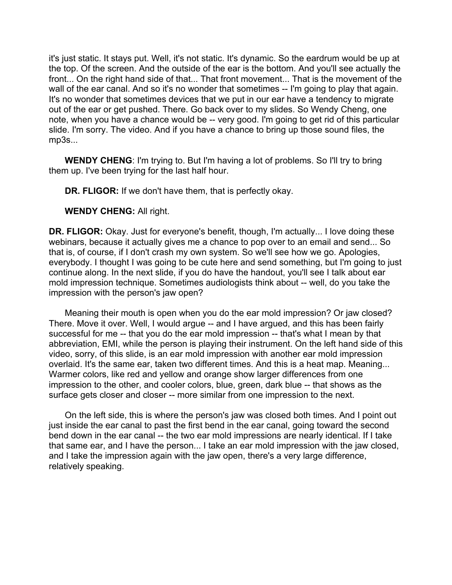it's just static. It stays put. Well, it's not static. It's dynamic. So the eardrum would be up at the top. Of the screen. And the outside of the ear is the bottom. And you'll see actually the front... On the right hand side of that... That front movement... That is the movement of the wall of the ear canal. And so it's no wonder that sometimes -- I'm going to play that again. It's no wonder that sometimes devices that we put in our ear have a tendency to migrate out of the ear or get pushed. There. Go back over to my slides. So Wendy Cheng, one note, when you have a chance would be -- very good. I'm going to get rid of this particular slide. I'm sorry. The video. And if you have a chance to bring up those sound files, the mp3s...

**WENDY CHENG:** I'm trying to. But I'm having a lot of problems. So I'll try to bring them up. I've been trying for the last half hour.

**DR. FLIGOR:** If we don't have them, that is perfectly okay.

**WENDY CHENG:** All right.

**DR. FLIGOR:** Okay. Just for everyone's benefit, though, I'm actually... I love doing these webinars, because it actually gives me a chance to pop over to an email and send... So that is, of course, if I don't crash my own system. So we'll see how we go. Apologies, everybody. I thought I was going to be cute here and send something, but I'm going to just continue along. In the next slide, if you do have the handout, you'll see I talk about ear mold impression technique. Sometimes audiologists think about -- well, do you take the impression with the person's jaw open?

Meaning their mouth is open when you do the ear mold impression? Or jaw closed? There. Move it over. Well, I would argue -- and I have argued, and this has been fairly successful for me -- that you do the ear mold impression -- that's what I mean by that abbreviation, EMI, while the person is playing their instrument. On the left hand side of this video, sorry, of this slide, is an ear mold impression with another ear mold impression overlaid. It's the same ear, taken two different times. And this is a heat map. Meaning... Warmer colors, like red and yellow and orange show larger differences from one impression to the other, and cooler colors, blue, green, dark blue -- that shows as the surface gets closer and closer -- more similar from one impression to the next.

On the left side, this is where the person's jaw was closed both times. And I point out just inside the ear canal to past the first bend in the ear canal, going toward the second bend down in the ear canal -- the two ear mold impressions are nearly identical. If I take that same ear, and I have the person... I take an ear mold impression with the jaw closed, and I take the impression again with the jaw open, there's a very large difference, relatively speaking.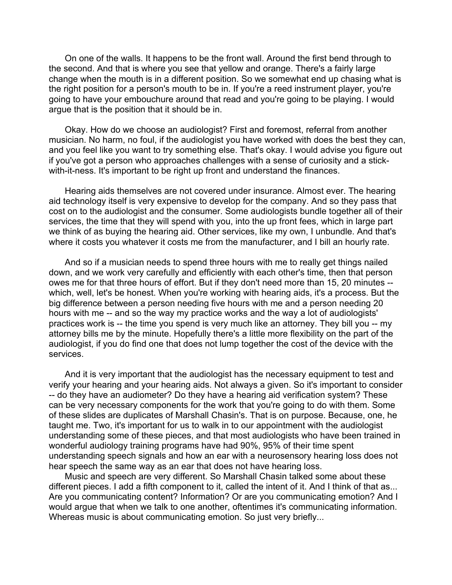On one of the walls. It happens to be the front wall. Around the first bend through to the second. And that is where you see that yellow and orange. There's a fairly large change when the mouth is in a different position. So we somewhat end up chasing what is the right position for a person's mouth to be in. If you're a reed instrument player, you're going to have your embouchure around that read and you're going to be playing. I would argue that is the position that it should be in.

Okay. How do we choose an audiologist? First and foremost, referral from another musician. No harm, no foul, if the audiologist you have worked with does the best they can, and you feel like you want to try something else. That's okay. I would advise you figure out if you've got a person who approaches challenges with a sense of curiosity and a stickwith-it-ness. It's important to be right up front and understand the finances.

Hearing aids themselves are not covered under insurance. Almost ever. The hearing aid technology itself is very expensive to develop for the company. And so they pass that cost on to the audiologist and the consumer. Some audiologists bundle together all of their services, the time that they will spend with you, into the up front fees, which in large part we think of as buying the hearing aid. Other services, like my own, I unbundle. And that's where it costs you whatever it costs me from the manufacturer, and I bill an hourly rate.

And so if a musician needs to spend three hours with me to really get things nailed down, and we work very carefully and efficiently with each other's time, then that person owes me for that three hours of effort. But if they don't need more than 15, 20 minutes - which, well, let's be honest. When you're working with hearing aids, it's a process. But the big difference between a person needing five hours with me and a person needing 20 hours with me -- and so the way my practice works and the way a lot of audiologists' practices work is -- the time you spend is very much like an attorney. They bill you -- my attorney bills me by the minute. Hopefully there's a little more flexibility on the part of the audiologist, if you do find one that does not lump together the cost of the device with the services.

And it is very important that the audiologist has the necessary equipment to test and verify your hearing and your hearing aids. Not always a given. So it's important to consider -- do they have an audiometer? Do they have a hearing aid verification system? These can be very necessary components for the work that you're going to do with them. Some of these slides are duplicates of Marshall Chasin's. That is on purpose. Because, one, he taught me. Two, it's important for us to walk in to our appointment with the audiologist understanding some of these pieces, and that most audiologists who have been trained in wonderful audiology training programs have had 90%, 95% of their time spent understanding speech signals and how an ear with a neurosensory hearing loss does not hear speech the same way as an ear that does not have hearing loss.

Music and speech are very different. So Marshall Chasin talked some about these different pieces. I add a fifth component to it, called the intent of it. And I think of that as... Are you communicating content? Information? Or are you communicating emotion? And I would argue that when we talk to one another, oftentimes it's communicating information. Whereas music is about communicating emotion. So just very briefly...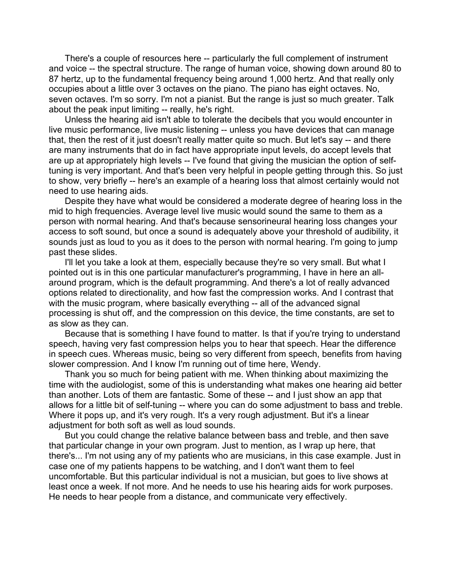There's a couple of resources here -- particularly the full complement of instrument and voice -- the spectral structure. The range of human voice, showing down around 80 to 87 hertz, up to the fundamental frequency being around 1,000 hertz. And that really only occupies about a little over 3 octaves on the piano. The piano has eight octaves. No, seven octaves. I'm so sorry. I'm not a pianist. But the range is just so much greater. Talk about the peak input limiting -- really, he's right.

Unless the hearing aid isn't able to tolerate the decibels that you would encounter in live music performance, live music listening -- unless you have devices that can manage that, then the rest of it just doesn't really matter quite so much. But let's say -- and there are many instruments that do in fact have appropriate input levels, do accept levels that are up at appropriately high levels -- I've found that giving the musician the option of selftuning is very important. And that's been very helpful in people getting through this. So just to show, very briefly -- here's an example of a hearing loss that almost certainly would not need to use hearing aids.

Despite they have what would be considered a moderate degree of hearing loss in the mid to high frequencies. Average level live music would sound the same to them as a person with normal hearing. And that's because sensorineural hearing loss changes your access to soft sound, but once a sound is adequately above your threshold of audibility, it sounds just as loud to you as it does to the person with normal hearing. I'm going to jump past these slides.

I'll let you take a look at them, especially because they're so very small. But what I pointed out is in this one particular manufacturer's programming, I have in here an allaround program, which is the default programming. And there's a lot of really advanced options related to directionality, and how fast the compression works. And I contrast that with the music program, where basically everything -- all of the advanced signal processing is shut off, and the compression on this device, the time constants, are set to as slow as they can.

Because that is something I have found to matter. Is that if you're trying to understand speech, having very fast compression helps you to hear that speech. Hear the difference in speech cues. Whereas music, being so very different from speech, benefits from having slower compression. And I know I'm running out of time here, Wendy.

Thank you so much for being patient with me. When thinking about maximizing the time with the audiologist, some of this is understanding what makes one hearing aid better than another. Lots of them are fantastic. Some of these -- and I just show an app that allows for a little bit of self-tuning -- where you can do some adjustment to bass and treble. Where it pops up, and it's very rough. It's a very rough adjustment. But it's a linear adjustment for both soft as well as loud sounds.

But you could change the relative balance between bass and treble, and then save that particular change in your own program. Just to mention, as I wrap up here, that there's... I'm not using any of my patients who are musicians, in this case example. Just in case one of my patients happens to be watching, and I don't want them to feel uncomfortable. But this particular individual is not a musician, but goes to live shows at least once a week. If not more. And he needs to use his hearing aids for work purposes. He needs to hear people from a distance, and communicate very effectively.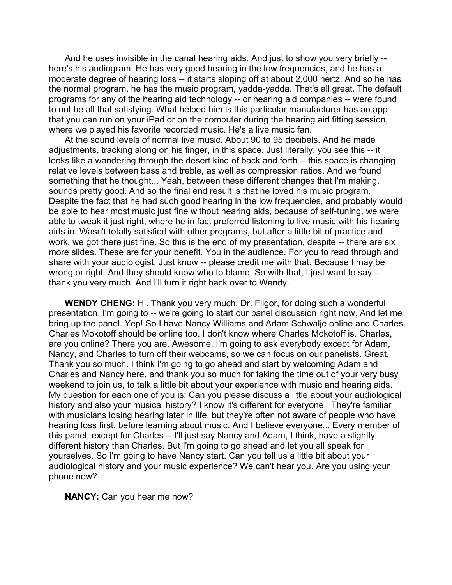And he uses invisible in the canal hearing aids. And just to show you very briefly - here's his audiogram. He has very good hearing in the low frequencies, and he has a moderate degree of hearing loss -- it starts sloping off at about 2,000 hertz. And so he has the normal program, he has the music program, yadda-yadda. That's all great. The default programs for any of the hearing aid technology -- or hearing aid companies -- were found to not be all that satisfying. What helped him is this particular manufacturer has an app that you can run on your iPad or on the computer during the hearing aid fitting session, where we played his favorite recorded music. He's a live music fan.

At the sound levels of normal live music. About 90 to 95 decibels. And he made adjustments, tracking along on his finger, in this space. Just literally, you see this -- it looks like a wandering through the desert kind of back and forth -- this space is changing relative levels between bass and treble, as well as compression ratios. And we found something that he thought... Yeah, between these different changes that I'm making, sounds pretty good. And so the final end result is that he loved his music program. Despite the fact that he had such good hearing in the low frequencies, and probably would be able to hear most music just fine without hearing aids, because of self-tuning, we were able to tweak it just right, where he in fact preferred listening to live music with his hearing aids in. Wasn't totally satisfied with other programs, but after a little bit of practice and work, we got there just fine. So this is the end of my presentation, despite -- there are six more slides. These are for your benefit. You in the audience. For you to read through and share with your audiologist. Just know -- please credit me with that. Because I may be wrong or right. And they should know who to blame. So with that, I just want to say - thank you very much. And I'll turn it right back over to Wendy.

**WENDY CHENG:** Hi. Thank you very much, Dr. Fligor, for doing such a wonderful presentation. I'm going to -- we're going to start our panel discussion right now. And let me bring up the panel. Yep! So I have Nancy Williams and Adam Schwalje online and Charles. Charles Mokotoff should be online too. I don't know where Charles Mokotoff is. Charles, are you online? There you are. Awesome. I'm going to ask everybody except for Adam, Nancy, and Charles to turn off their webcams, so we can focus on our panelists. Great. Thank you so much. I think I'm going to go ahead and start by welcoming Adam and Charles and Nancy here, and thank you so much for taking the time out of your very busy weekend to join us, to talk a little bit about your experience with music and hearing aids. My question for each one of you is: Can you please discuss a little about your audiological history and also your musical history? I know it's different for everyone. They're familiar with musicians losing hearing later in life, but they're often not aware of people who have hearing loss first, before learning about music. And I believe everyone... Every member of this panel, except for Charles -- I'll just say Nancy and Adam, I think, have a slightly different history than Charles. But I'm going to go ahead and let you all speak for yourselves. So I'm going to have Nancy start. Can you tell us a little bit about your audiological history and your music experience? We can't hear you. Are you using your phone now?

**NANCY:** Can you hear me now?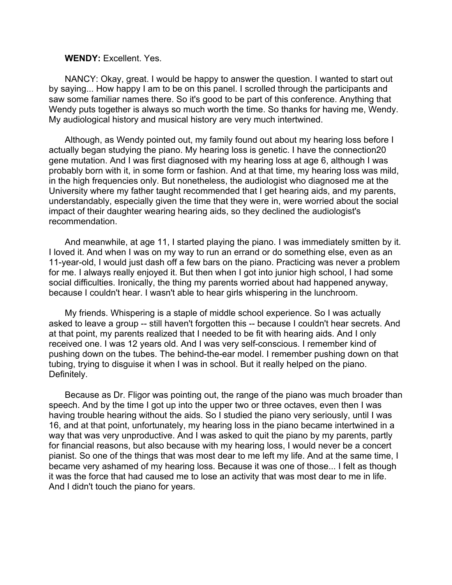## **WENDY:** Excellent. Yes.

NANCY: Okay, great. I would be happy to answer the question. I wanted to start out by saying... How happy I am to be on this panel. I scrolled through the participants and saw some familiar names there. So it's good to be part of this conference. Anything that Wendy puts together is always so much worth the time. So thanks for having me, Wendy. My audiological history and musical history are very much intertwined.

Although, as Wendy pointed out, my family found out about my hearing loss before I actually began studying the piano. My hearing loss is genetic. I have the connection20 gene mutation. And I was first diagnosed with my hearing loss at age 6, although I was probably born with it, in some form or fashion. And at that time, my hearing loss was mild, in the high frequencies only. But nonetheless, the audiologist who diagnosed me at the University where my father taught recommended that I get hearing aids, and my parents, understandably, especially given the time that they were in, were worried about the social impact of their daughter wearing hearing aids, so they declined the audiologist's recommendation.

And meanwhile, at age 11, I started playing the piano. I was immediately smitten by it. I loved it. And when I was on my way to run an errand or do something else, even as an 11-year-old, I would just dash off a few bars on the piano. Practicing was never a problem for me. I always really enjoyed it. But then when I got into junior high school, I had some social difficulties. Ironically, the thing my parents worried about had happened anyway, because I couldn't hear. I wasn't able to hear girls whispering in the lunchroom.

My friends. Whispering is a staple of middle school experience. So I was actually asked to leave a group -- still haven't forgotten this -- because I couldn't hear secrets. And at that point, my parents realized that I needed to be fit with hearing aids. And I only received one. I was 12 years old. And I was very self-conscious. I remember kind of pushing down on the tubes. The behind-the-ear model. I remember pushing down on that tubing, trying to disguise it when I was in school. But it really helped on the piano. Definitely.

Because as Dr. Fligor was pointing out, the range of the piano was much broader than speech. And by the time I got up into the upper two or three octaves, even then I was having trouble hearing without the aids. So I studied the piano very seriously, until I was 16, and at that point, unfortunately, my hearing loss in the piano became intertwined in a way that was very unproductive. And I was asked to quit the piano by my parents, partly for financial reasons, but also because with my hearing loss, I would never be a concert pianist. So one of the things that was most dear to me left my life. And at the same time, I became very ashamed of my hearing loss. Because it was one of those... I felt as though it was the force that had caused me to lose an activity that was most dear to me in life. And I didn't touch the piano for years.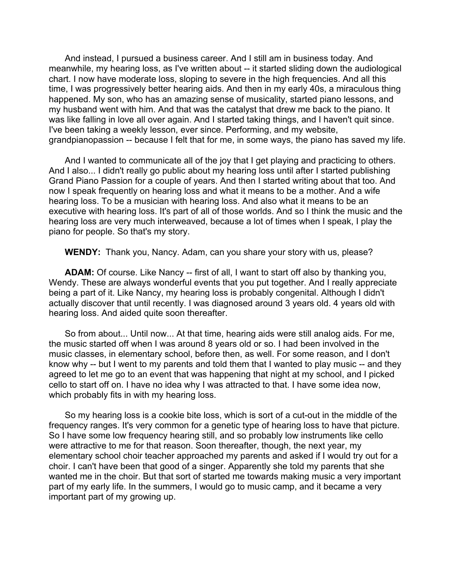And instead, I pursued a business career. And I still am in business today. And meanwhile, my hearing loss, as I've written about -- it started sliding down the audiological chart. I now have moderate loss, sloping to severe in the high frequencies. And all this time, I was progressively better hearing aids. And then in my early 40s, a miraculous thing happened. My son, who has an amazing sense of musicality, started piano lessons, and my husband went with him. And that was the catalyst that drew me back to the piano. It was like falling in love all over again. And I started taking things, and I haven't quit since. I've been taking a weekly lesson, ever since. Performing, and my website, grandpianopassion -- because I felt that for me, in some ways, the piano has saved my life.

And I wanted to communicate all of the joy that I get playing and practicing to others. And I also... I didn't really go public about my hearing loss until after I started publishing Grand Piano Passion for a couple of years. And then I started writing about that too. And now I speak frequently on hearing loss and what it means to be a mother. And a wife hearing loss. To be a musician with hearing loss. And also what it means to be an executive with hearing loss. It's part of all of those worlds. And so I think the music and the hearing loss are very much interweaved, because a lot of times when I speak, I play the piano for people. So that's my story.

**WENDY:** Thank you, Nancy. Adam, can you share your story with us, please?

**ADAM:** Of course. Like Nancy -- first of all, I want to start off also by thanking you, Wendy. These are always wonderful events that you put together. And I really appreciate being a part of it. Like Nancy, my hearing loss is probably congenital. Although I didn't actually discover that until recently. I was diagnosed around 3 years old. 4 years old with hearing loss. And aided quite soon thereafter.

So from about... Until now... At that time, hearing aids were still analog aids. For me, the music started off when I was around 8 years old or so. I had been involved in the music classes, in elementary school, before then, as well. For some reason, and I don't know why -- but I went to my parents and told them that I wanted to play music -- and they agreed to let me go to an event that was happening that night at my school, and I picked cello to start off on. I have no idea why I was attracted to that. I have some idea now, which probably fits in with my hearing loss.

So my hearing loss is a cookie bite loss, which is sort of a cut-out in the middle of the frequency ranges. It's very common for a genetic type of hearing loss to have that picture. So I have some low frequency hearing still, and so probably low instruments like cello were attractive to me for that reason. Soon thereafter, though, the next year, my elementary school choir teacher approached my parents and asked if I would try out for a choir. I can't have been that good of a singer. Apparently she told my parents that she wanted me in the choir. But that sort of started me towards making music a very important part of my early life. In the summers, I would go to music camp, and it became a very important part of my growing up.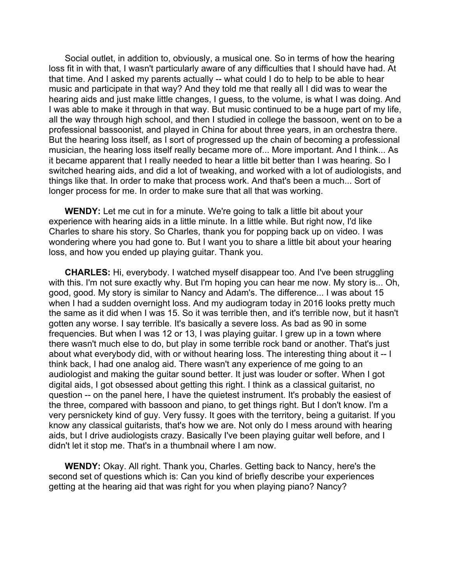Social outlet, in addition to, obviously, a musical one. So in terms of how the hearing loss fit in with that, I wasn't particularly aware of any difficulties that I should have had. At that time. And I asked my parents actually -- what could I do to help to be able to hear music and participate in that way? And they told me that really all I did was to wear the hearing aids and just make little changes, I guess, to the volume, is what I was doing. And I was able to make it through in that way. But music continued to be a huge part of my life, all the way through high school, and then I studied in college the bassoon, went on to be a professional bassoonist, and played in China for about three years, in an orchestra there. But the hearing loss itself, as I sort of progressed up the chain of becoming a professional musician, the hearing loss itself really became more of... More important. And I think... As it became apparent that I really needed to hear a little bit better than I was hearing. So I switched hearing aids, and did a lot of tweaking, and worked with a lot of audiologists, and things like that. In order to make that process work. And that's been a much... Sort of longer process for me. In order to make sure that all that was working.

**WENDY:** Let me cut in for a minute. We're going to talk a little bit about your experience with hearing aids in a little minute. In a little while. But right now, I'd like Charles to share his story. So Charles, thank you for popping back up on video. I was wondering where you had gone to. But I want you to share a little bit about your hearing loss, and how you ended up playing guitar. Thank you.

**CHARLES:** Hi, everybody. I watched myself disappear too. And I've been struggling with this. I'm not sure exactly why. But I'm hoping you can hear me now. My story is... Oh, good, good. My story is similar to Nancy and Adam's. The difference... I was about 15 when I had a sudden overnight loss. And my audiogram today in 2016 looks pretty much the same as it did when I was 15. So it was terrible then, and it's terrible now, but it hasn't gotten any worse. I say terrible. It's basically a severe loss. As bad as 90 in some frequencies. But when I was 12 or 13, I was playing guitar. I grew up in a town where there wasn't much else to do, but play in some terrible rock band or another. That's just about what everybody did, with or without hearing loss. The interesting thing about it -- I think back, I had one analog aid. There wasn't any experience of me going to an audiologist and making the guitar sound better. It just was louder or softer. When I got digital aids, I got obsessed about getting this right. I think as a classical guitarist, no question -- on the panel here, I have the quietest instrument. It's probably the easiest of the three, compared with bassoon and piano, to get things right. But I don't know. I'm a very persnickety kind of guy. Very fussy. It goes with the territory, being a guitarist. If you know any classical guitarists, that's how we are. Not only do I mess around with hearing aids, but I drive audiologists crazy. Basically I've been playing guitar well before, and I didn't let it stop me. That's in a thumbnail where I am now.

**WENDY:** Okay. All right. Thank you, Charles. Getting back to Nancy, here's the second set of questions which is: Can you kind of briefly describe your experiences getting at the hearing aid that was right for you when playing piano? Nancy?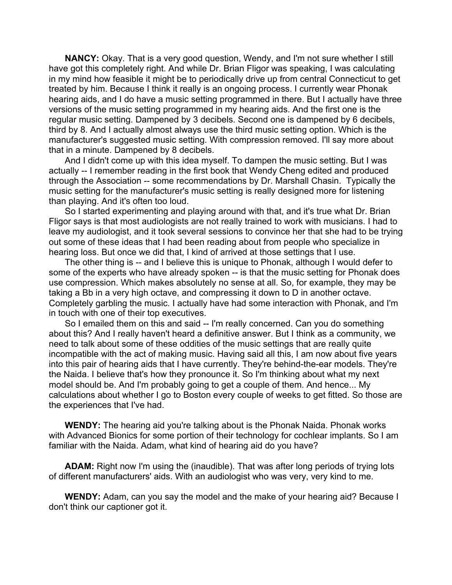**NANCY:** Okay. That is a very good question, Wendy, and I'm not sure whether I still have got this completely right. And while Dr. Brian Fligor was speaking, I was calculating in my mind how feasible it might be to periodically drive up from central Connecticut to get treated by him. Because I think it really is an ongoing process. I currently wear Phonak hearing aids, and I do have a music setting programmed in there. But I actually have three versions of the music setting programmed in my hearing aids. And the first one is the regular music setting. Dampened by 3 decibels. Second one is dampened by 6 decibels, third by 8. And I actually almost always use the third music setting option. Which is the manufacturer's suggested music setting. With compression removed. I'll say more about that in a minute. Dampened by 8 decibels.

And I didn't come up with this idea myself. To dampen the music setting. But I was actually -- I remember reading in the first book that Wendy Cheng edited and produced through the Association -- some recommendations by Dr. Marshall Chasin. Typically the music setting for the manufacturer's music setting is really designed more for listening than playing. And it's often too loud.

So I started experimenting and playing around with that, and it's true what Dr. Brian Fligor says is that most audiologists are not really trained to work with musicians. I had to leave my audiologist, and it took several sessions to convince her that she had to be trying out some of these ideas that I had been reading about from people who specialize in hearing loss. But once we did that, I kind of arrived at those settings that I use.

The other thing is -- and I believe this is unique to Phonak, although I would defer to some of the experts who have already spoken -- is that the music setting for Phonak does use compression. Which makes absolutely no sense at all. So, for example, they may be taking a Bb in a very high octave, and compressing it down to D in another octave. Completely garbling the music. I actually have had some interaction with Phonak, and I'm in touch with one of their top executives.

So I emailed them on this and said -- I'm really concerned. Can you do something about this? And I really haven't heard a definitive answer. But I think as a community, we need to talk about some of these oddities of the music settings that are really quite incompatible with the act of making music. Having said all this, I am now about five years into this pair of hearing aids that I have currently. They're behind-the-ear models. They're the Naida. I believe that's how they pronounce it. So I'm thinking about what my next model should be. And I'm probably going to get a couple of them. And hence... My calculations about whether I go to Boston every couple of weeks to get fitted. So those are the experiences that I've had.

**WENDY:** The hearing aid you're talking about is the Phonak Naida. Phonak works with Advanced Bionics for some portion of their technology for cochlear implants. So I am familiar with the Naida. Adam, what kind of hearing aid do you have?

**ADAM:** Right now I'm using the (inaudible). That was after long periods of trying lots of different manufacturers' aids. With an audiologist who was very, very kind to me.

**WENDY:** Adam, can you say the model and the make of your hearing aid? Because I don't think our captioner got it.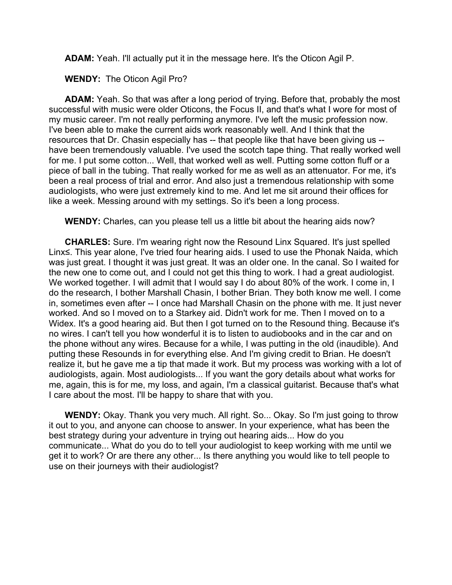**ADAM:** Yeah. I'll actually put it in the message here. It's the Oticon Agil P.

**WENDY:** The Oticon Agil Pro?

**ADAM:** Yeah. So that was after a long period of trying. Before that, probably the most successful with music were older Oticons, the Focus II, and that's what I wore for most of my music career. I'm not really performing anymore. I've left the music profession now. I've been able to make the current aids work reasonably well. And I think that the resources that Dr. Chasin especially has -- that people like that have been giving us - have been tremendously valuable. I've used the scotch tape thing. That really worked well for me. I put some cotton... Well, that worked well as well. Putting some cotton fluff or a piece of ball in the tubing. That really worked for me as well as an attenuator. For me, it's been a real process of trial and error. And also just a tremendous relationship with some audiologists, who were just extremely kind to me. And let me sit around their offices for like a week. Messing around with my settings. So it's been a long process.

**WENDY:** Charles, can you please tell us a little bit about the hearing aids now?

**CHARLES:** Sure. I'm wearing right now the Resound Linx Squared. It's just spelled Linx≤. This year alone, I've tried four hearing aids. I used to use the Phonak Naida, which was just great. I thought it was just great. It was an older one. In the canal. So I waited for the new one to come out, and I could not get this thing to work. I had a great audiologist. We worked together. I will admit that I would say I do about 80% of the work. I come in, I do the research, I bother Marshall Chasin, I bother Brian. They both know me well. I come in, sometimes even after -- I once had Marshall Chasin on the phone with me. It just never worked. And so I moved on to a Starkey aid. Didn't work for me. Then I moved on to a Widex. It's a good hearing aid. But then I got turned on to the Resound thing. Because it's no wires. I can't tell you how wonderful it is to listen to audiobooks and in the car and on the phone without any wires. Because for a while, I was putting in the old (inaudible). And putting these Resounds in for everything else. And I'm giving credit to Brian. He doesn't realize it, but he gave me a tip that made it work. But my process was working with a lot of audiologists, again. Most audiologists... If you want the gory details about what works for me, again, this is for me, my loss, and again, I'm a classical guitarist. Because that's what I care about the most. I'll be happy to share that with you.

**WENDY:** Okay. Thank you very much. All right. So... Okay. So I'm just going to throw it out to you, and anyone can choose to answer. In your experience, what has been the best strategy during your adventure in trying out hearing aids... How do you communicate... What do you do to tell your audiologist to keep working with me until we get it to work? Or are there any other... Is there anything you would like to tell people to use on their journeys with their audiologist?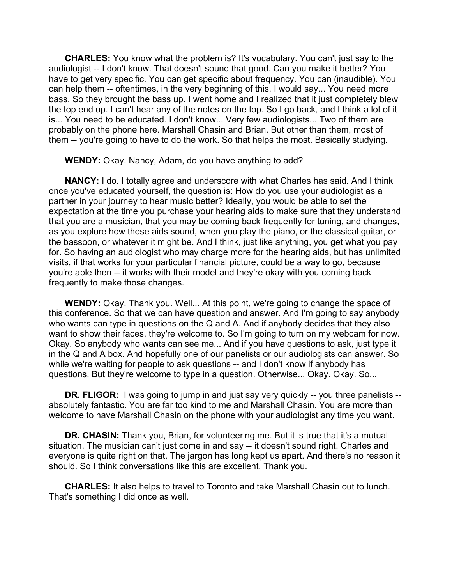**CHARLES:** You know what the problem is? It's vocabulary. You can't just say to the audiologist -- I don't know. That doesn't sound that good. Can you make it better? You have to get very specific. You can get specific about frequency. You can (inaudible). You can help them -- oftentimes, in the very beginning of this, I would say... You need more bass. So they brought the bass up. I went home and I realized that it just completely blew the top end up. I can't hear any of the notes on the top. So I go back, and I think a lot of it is... You need to be educated. I don't know... Very few audiologists... Two of them are probably on the phone here. Marshall Chasin and Brian. But other than them, most of them -- you're going to have to do the work. So that helps the most. Basically studying.

**WENDY:** Okay. Nancy, Adam, do you have anything to add?

**NANCY:** I do. I totally agree and underscore with what Charles has said. And I think once you've educated yourself, the question is: How do you use your audiologist as a partner in your journey to hear music better? Ideally, you would be able to set the expectation at the time you purchase your hearing aids to make sure that they understand that you are a musician, that you may be coming back frequently for tuning, and changes, as you explore how these aids sound, when you play the piano, or the classical guitar, or the bassoon, or whatever it might be. And I think, just like anything, you get what you pay for. So having an audiologist who may charge more for the hearing aids, but has unlimited visits, if that works for your particular financial picture, could be a way to go, because you're able then -- it works with their model and they're okay with you coming back frequently to make those changes.

**WENDY:** Okay. Thank you. Well... At this point, we're going to change the space of this conference. So that we can have question and answer. And I'm going to say anybody who wants can type in questions on the Q and A. And if anybody decides that they also want to show their faces, they're welcome to. So I'm going to turn on my webcam for now. Okay. So anybody who wants can see me... And if you have questions to ask, just type it in the Q and A box. And hopefully one of our panelists or our audiologists can answer. So while we're waiting for people to ask questions -- and I don't know if anybody has questions. But they're welcome to type in a question. Otherwise... Okay. Okay. So...

**DR. FLIGOR:** I was going to jump in and just say very quickly -- you three panelists -absolutely fantastic. You are far too kind to me and Marshall Chasin. You are more than welcome to have Marshall Chasin on the phone with your audiologist any time you want.

**DR. CHASIN:** Thank you, Brian, for volunteering me. But it is true that it's a mutual situation. The musician can't just come in and say -- it doesn't sound right. Charles and everyone is quite right on that. The jargon has long kept us apart. And there's no reason it should. So I think conversations like this are excellent. Thank you.

**CHARLES:** It also helps to travel to Toronto and take Marshall Chasin out to lunch. That's something I did once as well.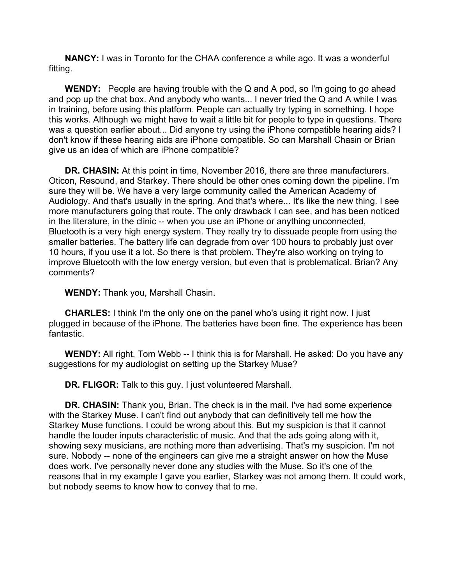**NANCY:** I was in Toronto for the CHAA conference a while ago. It was a wonderful fitting.

**WENDY:** People are having trouble with the Q and A pod, so I'm going to go ahead and pop up the chat box. And anybody who wants... I never tried the Q and A while I was in training, before using this platform. People can actually try typing in something. I hope this works. Although we might have to wait a little bit for people to type in questions. There was a question earlier about... Did anyone try using the iPhone compatible hearing aids? I don't know if these hearing aids are iPhone compatible. So can Marshall Chasin or Brian give us an idea of which are iPhone compatible?

**DR. CHASIN:** At this point in time, November 2016, there are three manufacturers. Oticon, Resound, and Starkey. There should be other ones coming down the pipeline. I'm sure they will be. We have a very large community called the American Academy of Audiology. And that's usually in the spring. And that's where... It's like the new thing. I see more manufacturers going that route. The only drawback I can see, and has been noticed in the literature, in the clinic -- when you use an iPhone or anything unconnected, Bluetooth is a very high energy system. They really try to dissuade people from using the smaller batteries. The battery life can degrade from over 100 hours to probably just over 10 hours, if you use it a lot. So there is that problem. They're also working on trying to improve Bluetooth with the low energy version, but even that is problematical. Brian? Any comments?

**WENDY:** Thank you, Marshall Chasin.

**CHARLES:** I think I'm the only one on the panel who's using it right now. I just plugged in because of the iPhone. The batteries have been fine. The experience has been fantastic.

**WENDY:** All right. Tom Webb -- I think this is for Marshall. He asked: Do you have any suggestions for my audiologist on setting up the Starkey Muse?

**DR. FLIGOR:** Talk to this guy. I just volunteered Marshall.

**DR. CHASIN:** Thank you, Brian. The check is in the mail. I've had some experience with the Starkey Muse. I can't find out anybody that can definitively tell me how the Starkey Muse functions. I could be wrong about this. But my suspicion is that it cannot handle the louder inputs characteristic of music. And that the ads going along with it, showing sexy musicians, are nothing more than advertising. That's my suspicion. I'm not sure. Nobody -- none of the engineers can give me a straight answer on how the Muse does work. I've personally never done any studies with the Muse. So it's one of the reasons that in my example I gave you earlier, Starkey was not among them. It could work, but nobody seems to know how to convey that to me.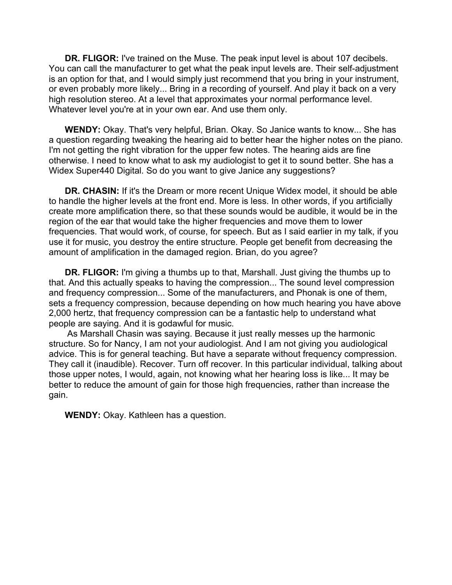**DR. FLIGOR:** I've trained on the Muse. The peak input level is about 107 decibels. You can call the manufacturer to get what the peak input levels are. Their self-adjustment is an option for that, and I would simply just recommend that you bring in your instrument, or even probably more likely... Bring in a recording of yourself. And play it back on a very high resolution stereo. At a level that approximates your normal performance level. Whatever level you're at in your own ear. And use them only.

**WENDY:** Okay. That's very helpful, Brian. Okay. So Janice wants to know... She has a question regarding tweaking the hearing aid to better hear the higher notes on the piano. I'm not getting the right vibration for the upper few notes. The hearing aids are fine otherwise. I need to know what to ask my audiologist to get it to sound better. She has a Widex Super440 Digital. So do you want to give Janice any suggestions?

**DR. CHASIN:** If it's the Dream or more recent Unique Widex model, it should be able to handle the higher levels at the front end. More is less. In other words, if you artificially create more amplification there, so that these sounds would be audible, it would be in the region of the ear that would take the higher frequencies and move them to lower frequencies. That would work, of course, for speech. But as I said earlier in my talk, if you use it for music, you destroy the entire structure. People get benefit from decreasing the amount of amplification in the damaged region. Brian, do you agree?

**DR. FLIGOR:** I'm giving a thumbs up to that, Marshall. Just giving the thumbs up to that. And this actually speaks to having the compression... The sound level compression and frequency compression... Some of the manufacturers, and Phonak is one of them, sets a frequency compression, because depending on how much hearing you have above 2,000 hertz, that frequency compression can be a fantastic help to understand what people are saying. And it is godawful for music.

As Marshall Chasin was saying. Because it just really messes up the harmonic structure. So for Nancy, I am not your audiologist. And I am not giving you audiological advice. This is for general teaching. But have a separate without frequency compression. They call it (inaudible). Recover. Turn off recover. In this particular individual, talking about those upper notes, I would, again, not knowing what her hearing loss is like... It may be better to reduce the amount of gain for those high frequencies, rather than increase the gain.

**WENDY:** Okay. Kathleen has a question.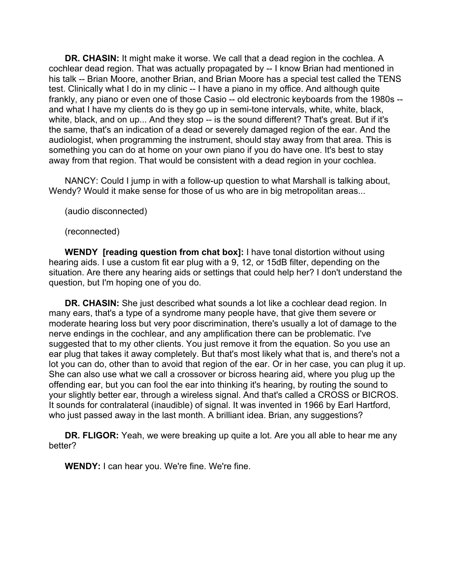**DR. CHASIN:** It might make it worse. We call that a dead region in the cochlea. A cochlear dead region. That was actually propagated by -- I know Brian had mentioned in his talk -- Brian Moore, another Brian, and Brian Moore has a special test called the TENS test. Clinically what I do in my clinic -- I have a piano in my office. And although quite frankly, any piano or even one of those Casio -- old electronic keyboards from the 1980s - and what I have my clients do is they go up in semi-tone intervals, white, white, black, white, black, and on up... And they stop -- is the sound different? That's great. But if it's the same, that's an indication of a dead or severely damaged region of the ear. And the audiologist, when programming the instrument, should stay away from that area. This is something you can do at home on your own piano if you do have one. It's best to stay away from that region. That would be consistent with a dead region in your cochlea.

NANCY: Could I jump in with a follow-up question to what Marshall is talking about, Wendy? Would it make sense for those of us who are in big metropolitan areas...

(audio disconnected)

(reconnected)

**WENDY [reading question from chat box]:** I have tonal distortion without using hearing aids. I use a custom fit ear plug with a 9, 12, or 15dB filter, depending on the situation. Are there any hearing aids or settings that could help her? I don't understand the question, but I'm hoping one of you do.

**DR. CHASIN:** She just described what sounds a lot like a cochlear dead region. In many ears, that's a type of a syndrome many people have, that give them severe or moderate hearing loss but very poor discrimination, there's usually a lot of damage to the nerve endings in the cochlear, and any amplification there can be problematic. I've suggested that to my other clients. You just remove it from the equation. So you use an ear plug that takes it away completely. But that's most likely what that is, and there's not a lot you can do, other than to avoid that region of the ear. Or in her case, you can plug it up. She can also use what we call a crossover or bicross hearing aid, where you plug up the offending ear, but you can fool the ear into thinking it's hearing, by routing the sound to your slightly better ear, through a wireless signal. And that's called a CROSS or BICROS. It sounds for contralateral (inaudible) of signal. It was invented in 1966 by Earl Hartford, who just passed away in the last month. A brilliant idea. Brian, any suggestions?

**DR. FLIGOR:** Yeah, we were breaking up quite a lot. Are you all able to hear me any better?

**WENDY:** I can hear you. We're fine. We're fine.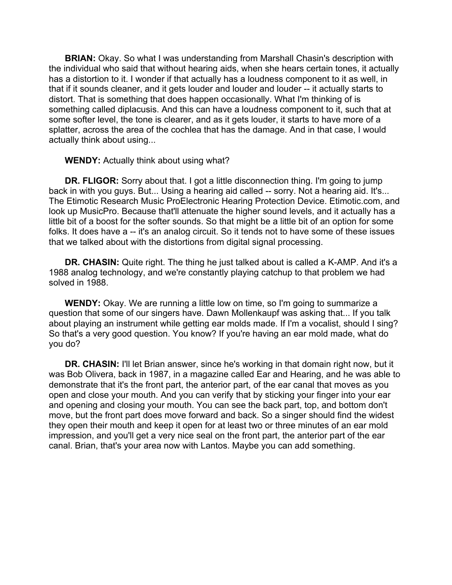**BRIAN:** Okay. So what I was understanding from Marshall Chasin's description with the individual who said that without hearing aids, when she hears certain tones, it actually has a distortion to it. I wonder if that actually has a loudness component to it as well, in that if it sounds cleaner, and it gets louder and louder and louder -- it actually starts to distort. That is something that does happen occasionally. What I'm thinking of is something called diplacusis. And this can have a loudness component to it, such that at some softer level, the tone is clearer, and as it gets louder, it starts to have more of a splatter, across the area of the cochlea that has the damage. And in that case, I would actually think about using...

**WENDY:** Actually think about using what?

**DR. FLIGOR:** Sorry about that. I got a little disconnection thing. I'm going to jump back in with you guys. But... Using a hearing aid called -- sorry. Not a hearing aid. It's... The Etimotic Research Music ProElectronic Hearing Protection Device. Etimotic.com, and look up MusicPro. Because that'll attenuate the higher sound levels, and it actually has a little bit of a boost for the softer sounds. So that might be a little bit of an option for some folks. It does have a -- it's an analog circuit. So it tends not to have some of these issues that we talked about with the distortions from digital signal processing.

**DR. CHASIN:** Quite right. The thing he just talked about is called a K-AMP. And it's a 1988 analog technology, and we're constantly playing catchup to that problem we had solved in 1988.

**WENDY:** Okay. We are running a little low on time, so I'm going to summarize a question that some of our singers have. Dawn Mollenkaupf was asking that... If you talk about playing an instrument while getting ear molds made. If I'm a vocalist, should I sing? So that's a very good question. You know? If you're having an ear mold made, what do you do?

**DR. CHASIN:** I'll let Brian answer, since he's working in that domain right now, but it was Bob Olivera, back in 1987, in a magazine called Ear and Hearing, and he was able to demonstrate that it's the front part, the anterior part, of the ear canal that moves as you open and close your mouth. And you can verify that by sticking your finger into your ear and opening and closing your mouth. You can see the back part, top, and bottom don't move, but the front part does move forward and back. So a singer should find the widest they open their mouth and keep it open for at least two or three minutes of an ear mold impression, and you'll get a very nice seal on the front part, the anterior part of the ear canal. Brian, that's your area now with Lantos. Maybe you can add something.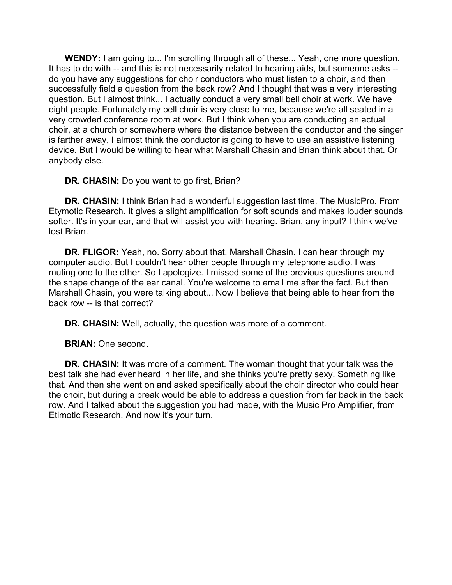**WENDY:** I am going to... I'm scrolling through all of these... Yeah, one more question. It has to do with -- and this is not necessarily related to hearing aids, but someone asks - do you have any suggestions for choir conductors who must listen to a choir, and then successfully field a question from the back row? And I thought that was a very interesting question. But I almost think... I actually conduct a very small bell choir at work. We have eight people. Fortunately my bell choir is very close to me, because we're all seated in a very crowded conference room at work. But I think when you are conducting an actual choir, at a church or somewhere where the distance between the conductor and the singer is farther away, I almost think the conductor is going to have to use an assistive listening device. But I would be willing to hear what Marshall Chasin and Brian think about that. Or anybody else.

**DR. CHASIN:** Do you want to go first, Brian?

**DR. CHASIN:** I think Brian had a wonderful suggestion last time. The MusicPro. From Etymotic Research. It gives a slight amplification for soft sounds and makes louder sounds softer. It's in your ear, and that will assist you with hearing. Brian, any input? I think we've lost Brian.

**DR. FLIGOR:** Yeah, no. Sorry about that, Marshall Chasin. I can hear through my computer audio. But I couldn't hear other people through my telephone audio. I was muting one to the other. So I apologize. I missed some of the previous questions around the shape change of the ear canal. You're welcome to email me after the fact. But then Marshall Chasin, you were talking about... Now I believe that being able to hear from the back row -- is that correct?

**DR. CHASIN:** Well, actually, the question was more of a comment.

**BRIAN:** One second.

**DR. CHASIN:** It was more of a comment. The woman thought that your talk was the best talk she had ever heard in her life, and she thinks you're pretty sexy. Something like that. And then she went on and asked specifically about the choir director who could hear the choir, but during a break would be able to address a question from far back in the back row. And I talked about the suggestion you had made, with the Music Pro Amplifier, from Etimotic Research. And now it's your turn.